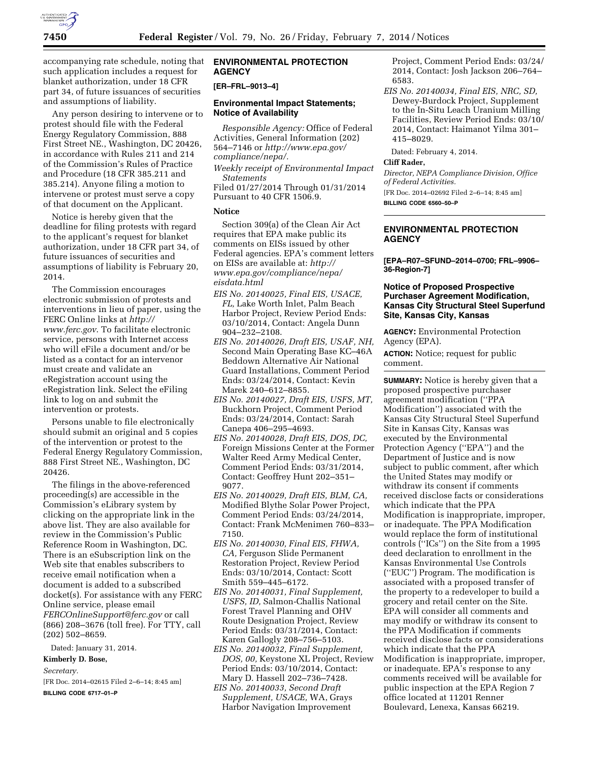

accompanying rate schedule, noting that such application includes a request for blanket authorization, under 18 CFR part 34, of future issuances of securities and assumptions of liability.

Any person desiring to intervene or to protest should file with the Federal Energy Regulatory Commission, 888 First Street NE., Washington, DC 20426, in accordance with Rules 211 and 214 of the Commission's Rules of Practice and Procedure (18 CFR 385.211 and 385.214). Anyone filing a motion to intervene or protest must serve a copy of that document on the Applicant.

Notice is hereby given that the deadline for filing protests with regard to the applicant's request for blanket authorization, under 18 CFR part 34, of future issuances of securities and assumptions of liability is February 20, 2014.

The Commission encourages electronic submission of protests and interventions in lieu of paper, using the FERC Online links at *[http://](http://www.ferc.gov) [www.ferc.gov](http://www.ferc.gov)*. To facilitate electronic service, persons with Internet access who will eFile a document and/or be listed as a contact for an intervenor must create and validate an eRegistration account using the eRegistration link. Select the eFiling link to log on and submit the intervention or protests.

Persons unable to file electronically should submit an original and 5 copies of the intervention or protest to the Federal Energy Regulatory Commission, 888 First Street NE., Washington, DC 20426.

The filings in the above-referenced proceeding(s) are accessible in the Commission's eLibrary system by clicking on the appropriate link in the above list. They are also available for review in the Commission's Public Reference Room in Washington, DC. There is an eSubscription link on the Web site that enables subscribers to receive email notification when a document is added to a subscribed docket(s). For assistance with any FERC Online service, please email *[FERCOnlineSupport@ferc.gov](mailto:FERCOnlineSupport@ferc.gov)* or call (866) 208–3676 (toll free). For TTY, call (202) 502–8659.

Dated: January 31, 2014.

**Kimberly D. Bose,** 

*Secretary.* 

[FR Doc. 2014–02615 Filed 2–6–14; 8:45 am]

**BILLING CODE 6717–01–P** 

### **ENVIRONMENTAL PROTECTION AGENCY**

#### **[ER–FRL–9013–4]**

#### **Environmental Impact Statements; Notice of Availability**

*Responsible Agency:* Office of Federal Activities, General Information (202) 564–7146 or *[http://www.epa.gov/](http://www.epa.gov/compliance/nepa/) [compliance/nepa/.](http://www.epa.gov/compliance/nepa/)* 

*Weekly receipt of Environmental Impact Statements* 

Filed 01/27/2014 Through 01/31/2014 Pursuant to 40 CFR 1506.9.

# **Notice**

Section 309(a) of the Clean Air Act requires that EPA make public its comments on EISs issued by other Federal agencies. EPA's comment letters on EISs are available at: *[http://](http://www.epa.gov/compliance/nepa/eisdata.html) [www.epa.gov/compliance/nepa/](http://www.epa.gov/compliance/nepa/eisdata.html) [eisdata.html](http://www.epa.gov/compliance/nepa/eisdata.html)* 

- *EIS No. 20140025, Final EIS, USACE, FL,* Lake Worth Inlet, Palm Beach Harbor Project, Review Period Ends: 03/10/2014, Contact: Angela Dunn 904–232–2108.
- *EIS No. 20140026, Draft EIS, USAF, NH,*  Second Main Operating Base KC–46A Beddown Alternative Air National Guard Installations, Comment Period Ends: 03/24/2014, Contact: Kevin Marek 240–612–8855.
- *EIS No. 20140027, Draft EIS, USFS, MT,*  Buckhorn Project, Comment Period Ends: 03/24/2014, Contact: Sarah Canepa 406–295–4693.
- *EIS No. 20140028, Draft EIS, DOS, DC,*  Foreign Missions Center at the Former Walter Reed Army Medical Center, Comment Period Ends: 03/31/2014, Contact: Geoffrey Hunt 202–351– 9077.
- *EIS No. 20140029, Draft EIS, BLM, CA,*  Modified Blythe Solar Power Project, Comment Period Ends: 03/24/2014, Contact: Frank McMenimen 760–833– 7150.
- *EIS No. 20140030, Final EIS, FHWA, CA,* Ferguson Slide Permanent Restoration Project, Review Period Ends: 03/10/2014, Contact: Scott Smith 559–445–6172.
- *EIS No. 20140031, Final Supplement, USFS, ID,* Salmon-Challis National Forest Travel Planning and OHV Route Designation Project, Review Period Ends: 03/31/2014, Contact: Karen Gallogly 208–756–5103.
- *EIS No. 20140032, Final Supplement, DOS, 00,* Keystone XL Project, Review Period Ends: 03/10/2014, Contact: Mary D. Hassell 202–736–7428.
- *EIS No. 20140033, Second Draft Supplement, USACE,* WA, Grays Harbor Navigation Improvement

Project, Comment Period Ends: 03/24/ 2014, Contact: Josh Jackson 206–764– 6583.

*EIS No. 20140034, Final EIS, NRC, SD,*  Dewey-Burdock Project, Supplement to the In-Situ Leach Uranium Milling Facilities, Review Period Ends: 03/10/ 2014, Contact: Haimanot Yilma 301– 415–8029.

Dated: February 4, 2014.

#### **Cliff Rader,**

*Director, NEPA Compliance Division, Office of Federal Activities.* 

[FR Doc. 2014–02692 Filed 2–6–14; 8:45 am] **BILLING CODE 6560–50–P** 

#### **ENVIRONMENTAL PROTECTION AGENCY**

**[EPA–R07–SFUND–2014–0700; FRL–9906– 36-Region-7]** 

### **Notice of Proposed Prospective Purchaser Agreement Modification, Kansas City Structural Steel Superfund Site, Kansas City, Kansas**

**AGENCY:** Environmental Protection Agency (EPA).

**ACTION:** Notice; request for public comment.

**SUMMARY:** Notice is hereby given that a proposed prospective purchaser agreement modification (''PPA Modification'') associated with the Kansas City Structural Steel Superfund Site in Kansas City, Kansas was executed by the Environmental Protection Agency (''EPA'') and the Department of Justice and is now subject to public comment, after which the United States may modify or withdraw its consent if comments received disclose facts or considerations which indicate that the PPA Modification is inappropriate, improper, or inadequate. The PPA Modification would replace the form of institutional controls (''ICs'') on the Site from a 1995 deed declaration to enrollment in the Kansas Environmental Use Controls (''EUC'') Program. The modification is associated with a proposed transfer of the property to a redeveloper to build a grocery and retail center on the Site. EPA will consider all comments and may modify or withdraw its consent to the PPA Modification if comments received disclose facts or considerations which indicate that the PPA Modification is inappropriate, improper, or inadequate. EPA's response to any comments received will be available for public inspection at the EPA Region 7 office located at 11201 Renner Boulevard, Lenexa, Kansas 66219.